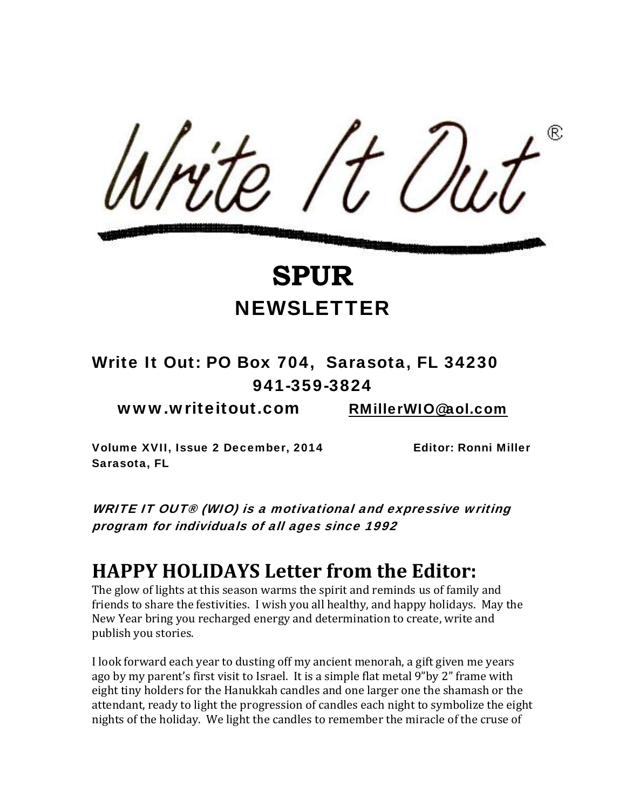

#### Write It Out: PO Box 704, Sarasota, FL 34230 941-359-3824

www.writeitout.com RMillerWIO@aol.com

Volume XVII, Issue 2 December, 2014 Editor: Ronni Miller Sarasota, FL

WRITE IT OUT® (WIO) is a motivational and expressive writing program for individuals of all ages since 1992

#### **HAPPY HOLIDAYS Letter from the Editor:**

The glow of lights at this season warms the spirit and reminds us of family and friends to share the festivities. I wish you all healthy, and happy holidays. May the New Year bring you recharged energy and determination to create, write and publish you stories.

I look forward each year to dusting off my ancient menorah, a gift given me years ago by my parent's first visit to Israel. It is a simple flat metal 9"by 2" frame with eight tiny holders for the Hanukkah candles and one larger one the shamash or the attendant, ready to light the progression of candles each night to symbolize the eight nights of the holiday. We light the candles to remember the miracle of the cruse of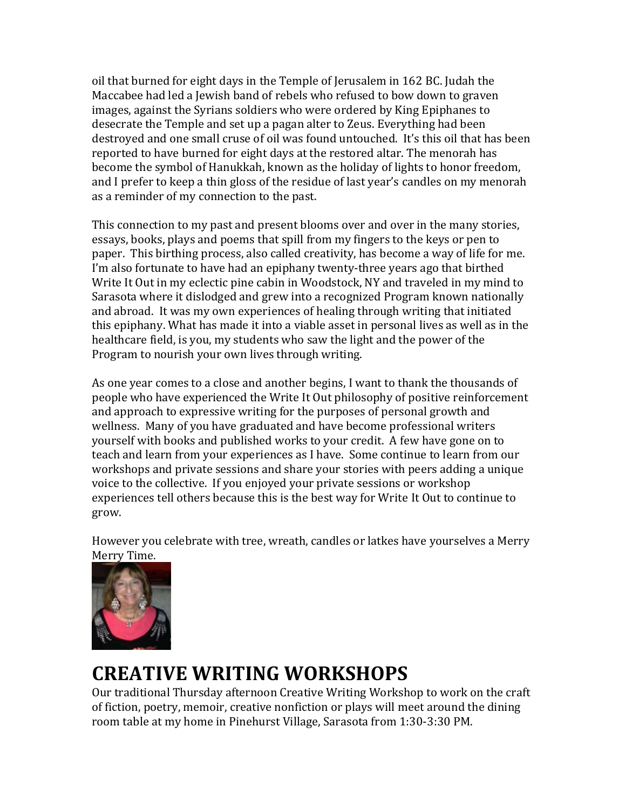oil that burned for eight days in the Temple of Jerusalem in 162 BC. Judah the Maccabee had led a Jewish band of rebels who refused to bow down to graven images, against the Syrians soldiers who were ordered by King Epiphanes to desecrate the Temple and set up a pagan alter to Zeus. Everything had been destroyed and one small cruse of oil was found untouched. It's this oil that has been reported to have burned for eight days at the restored altar. The menorah has become the symbol of Hanukkah, known as the holiday of lights to honor freedom, and I prefer to keep a thin gloss of the residue of last year's candles on my menorah as a reminder of my connection to the past.

This connection to my past and present blooms over and over in the many stories, essays, books, plays and poems that spill from my fingers to the keys or pen to paper. This birthing process, also called creativity, has become a way of life for me. I'm also fortunate to have had an epiphany twenty-three years ago that birthed Write It Out in my eclectic pine cabin in Woodstock, NY and traveled in my mind to Sarasota where it dislodged and grew into a recognized Program known nationally and abroad. It was my own experiences of healing through writing that initiated this epiphany. What has made it into a viable asset in personal lives as well as in the healthcare field, is you, my students who saw the light and the power of the Program to nourish your own lives through writing.

As one year comes to a close and another begins, I want to thank the thousands of people who have experienced the Write It Out philosophy of positive reinforcement and approach to expressive writing for the purposes of personal growth and wellness. Many of you have graduated and have become professional writers yourself with books and published works to your credit. A few have gone on to teach and learn from your experiences as I have. Some continue to learn from our workshops and private sessions and share your stories with peers adding a unique voice to the collective. If you enjoyed your private sessions or workshop experiences tell others because this is the best way for Write It Out to continue to grow.

However you celebrate with tree, wreath, candles or latkes have yourselves a Merry Merry Time.



## **CREATIVE WRITING WORKSHOPS**

Our traditional Thursday afternoon Creative Writing Workshop to work on the craft of fiction, poetry, memoir, creative nonfiction or plays will meet around the dining room table at my home in Pinehurst Village, Sarasota from 1:30‐3:30 PM.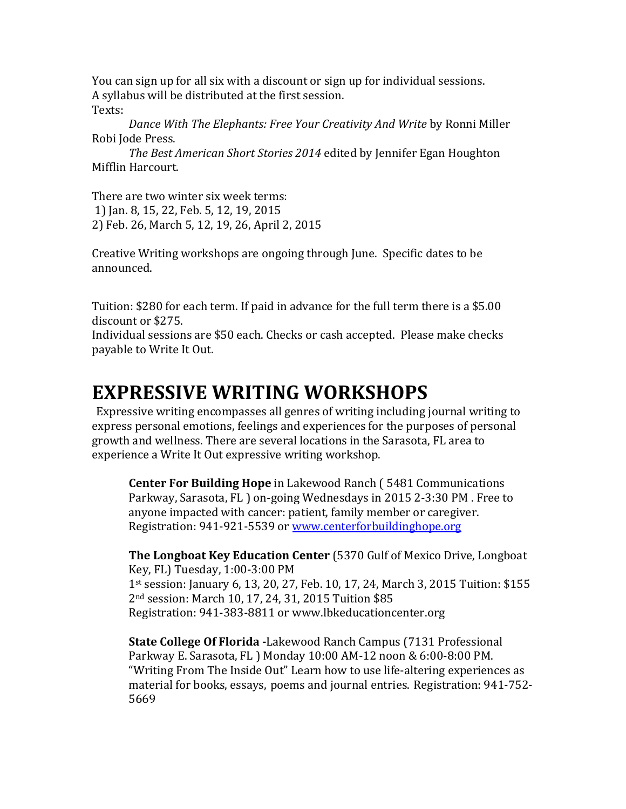You can sign up for all six with a discount or sign up for individual sessions. A syllabus will be distributed at the first session. Texts:

*Dance With The Elephants: Free Your Creativity And Write* by Ronni Miller Robi Jode Press.

*The Best American Short Stories 2014* edited by Jennifer Egan Houghton Mifflin Harcourt.

There are two winter six week terms: 1) Jan. 8, 15, 22, Feb. 5, 12, 19, 2015 2) Feb. 26, March 5, 12, 19, 26, April 2, 2015

Creative Writing workshops are ongoing through June. Specific dates to be announced.

Tuition: \$280 for each term. If paid in advance for the full term there is a \$5.00 discount or \$275.

Individual sessions are \$50 each. Checks or cash accepted. Please make checks payable to Write It Out.

### **EXPRESSIVE WRITING WORKSHOPS**

Expressive writing encompasses all genres of writing including journal writing to express personal emotions, feelings and experiences for the purposes of personal growth and wellness. There are several locations in the Sarasota, FL area to experience a Write It Out expressive writing workshop.

**Center For Building Hope** in Lakewood Ranch ( 5481 Communications Parkway, Sarasota, FL ) on‐going Wednesdays in 2015 2‐3:30 PM . Free to anyone impacted with cancer: patient, family member or caregiver. Registration: 941-921-5539 or www.centerforbuildinghope.org

**The Longboat Key Education Center** (5370 Gulf of Mexico Drive, Longboat Key, FL) Tuesday, 1:00‐3:00 PM 1st session: January 6, 13, 20, 27, Feb. 10, 17, 24, March 3, 2015 Tuition: \$155 2nd session: March 10, 17, 24, 31, 2015 Tuition \$85 Registration: 941‐383‐8811 or www.lbkeducationcenter.org

**State College Of Florida** Lakewood Ranch Campus (7131 Professional Parkway E. Sarasota, FL ) Monday 10:00 AM‐12 noon & 6:00‐8:00 PM. "Writing From The Inside Out" Learn how to use life‐altering experiences as material for books, essays, poems and journal entries. Registration: 941‐752‐ 5669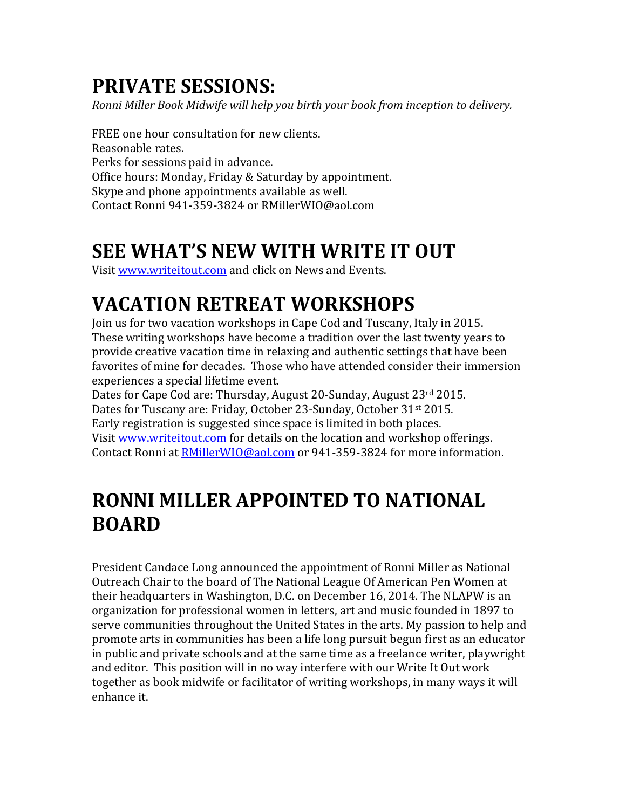## **PRIVATE SESSIONS:**

*Ronni Miller Book Midwife will help you birth your book from inception to delivery.*

FREE one hour consultation for new clients. Reasonable rates. Perks for sessions paid in advance. Office hours: Monday, Friday & Saturday by appointment. Skype and phone appointments available as well. Contact Ronni 941‐359‐3824 or RMillerWIO@aol.com

## **SEE WHAT'S NEW WITH WRITE IT OUT**

Visit www.writeitout.com and click on News and Events.

# **VACATION RETREAT WORKSHOPS**

Join us for two vacation workshops in Cape Cod and Tuscany, Italy in 2015. These writing workshops have become a tradition over the last twenty years to provide creative vacation time in relaxing and authentic settings that have been favorites of mine for decades. Those who have attended consider their immersion experiences a special lifetime event.

Dates for Cape Cod are: Thursday, August 20-Sunday, August 23rd 2015. Dates for Tuscany are: Friday, October 23-Sunday, October 31<sup>st</sup> 2015. Early registration is suggested since space is limited in both places. Visit www.writeitout.com for details on the location and workshop offerings. Contact Ronni at **RMillerWIO@aol.com** or 941-359-3824 for more information.

## **RONNI MILLER APPOINTED TO NATIONAL BOARD**

President Candace Long announced the appointment of Ronni Miller as National Outreach Chair to the board of The National League Of American Pen Women at their headquarters in Washington, D.C. on December 16, 2014. The NLAPW is an organization for professional women in letters, art and music founded in 1897 to serve communities throughout the United States in the arts. My passion to help and promote arts in communities has been a life long pursuit begun first as an educator in public and private schools and at the same time as a freelance writer, playwright and editor. This position will in no way interfere with our Write It Out work together as book midwife or facilitator of writing workshops, in many ways it will enhance it.